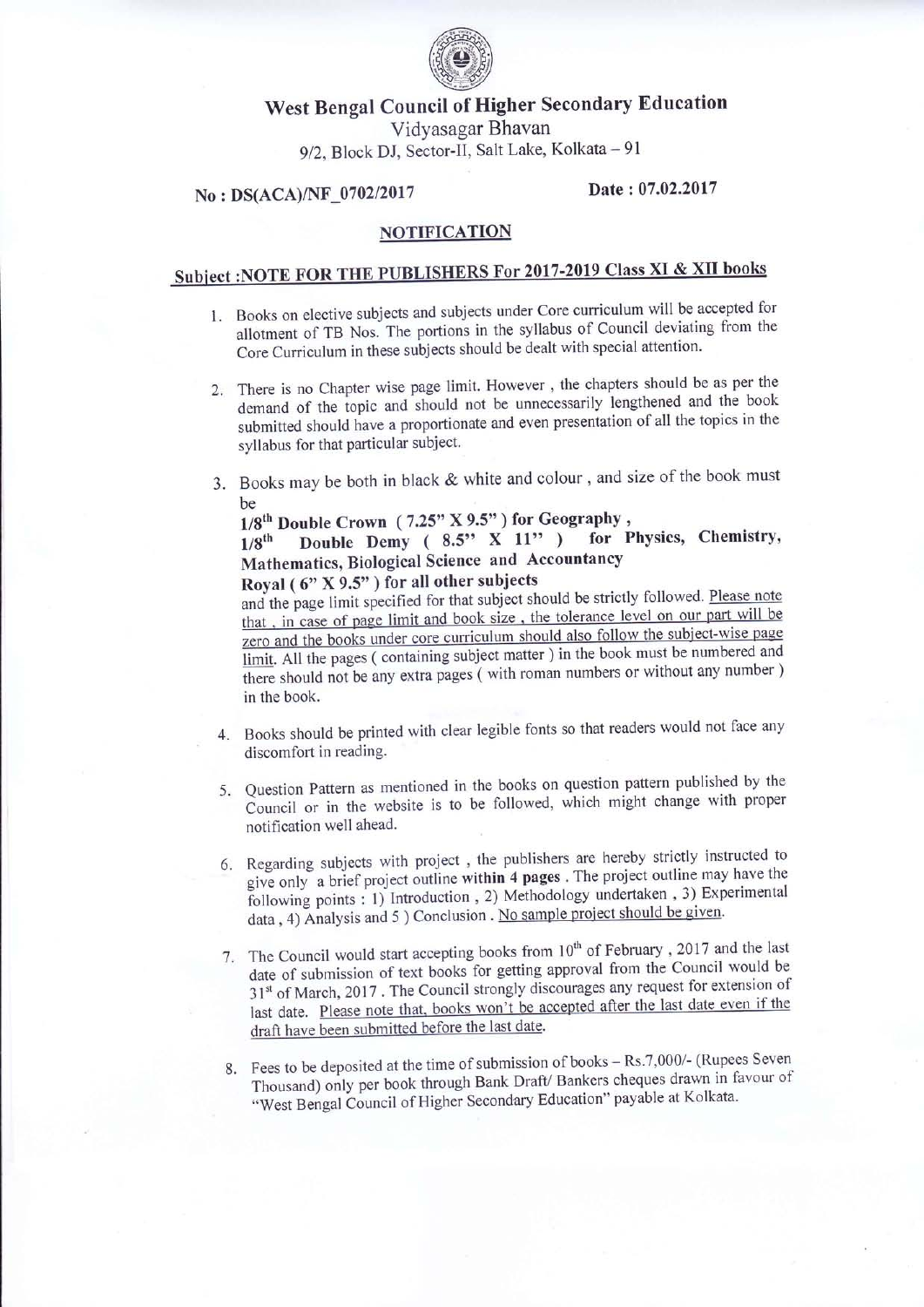

## West Bengal Council of Higher Secondary Education VidYasagar Bhavan 9/2, Block DJ, Sector-II, Salt Lake, Kolkata - 91

## No : DS(ACA)/NF\_0702/2017 Date : 07.02.2017

## NOTIFICATION

## Subject: NOTE FOR THE PUBLISHERS For 2017-2019 Class XI & XII books

- 1. Books on elective subjects and subjects under core curriculum will be accepted for allotment of TB Nos. The portions in the syllabus of Council deviating from the Core Curriculum in these subjects should be dealt with special attention.
- 2. There is no Chapter wise page limit. However, the chapters should be as per the demand of the topic and should not be unnecessarily lengthened and the book submitted should have a proportionate and even presentation of all the topics in the syllabus for that particular subject.
- 3. Books may be both in black & white and colour , and size of the book must be

 $1/8^{th}$  Double Crown (7.25" X 9.5") for Geography,<br> $1/8^{th}$  Double Demy (8.5" X 11") for F  $1/8$ <sup>th</sup> Double Demy ( 8.5<sup>\*</sup> X 11<sup>\*</sup> ) for Physics, Chemistry, Mathematics, Biological Science and Accountancy

Royal ( $6$ " X 9.5") for all other subjects

zero and the books under core curriculum should also follow the subject-wise page limit. All the pages (containing subject matter ) in the book must be numbered and there should not be any extra pages ( with roman numbers or without any number ) and the page limit specified for that subject should be strictly followed. Please note that, in case of page limit and book size, the tolerance level on our part will be in the book.

- 4. Books should be printed with clear legible fonts so that readers would not face any discomfort in reading.
- 5. Question Pattern as mentioned in the books on question pattern published by the Council or in the website is to be followed, which might change with proper notification well ahead.
- 6. Regarding subjects with project, the publishers are hereby strictly instructed to regive only a brief project outline within 4 pages. The project outline may have the following points : 1) Introduction, 2) Methodology undertaken, 3) Experimental data, 4) Analysis and 5 ) Conclusion . No sample project should be given.
- 7. The Council would start accepting books from  $10^{th}$  of February, 2017 and the last date of submission of text books for getting approval from the Council would be<br>of submission of text books for getting approval from the Council would be  $31<sup>st</sup>$  of March, 2017. The Council strongly discourages any request for extension of last date. Please note that, books won't be accepted after the last date even if the draft have been submitted before the last date.
- 8. Fees to be deposited at the time of submission of books  $-Rs.7,000/$  (Rupees Seven-Thousand) only per book through Bank Draft/ Bankers cheques drawn in favour of "West Bengal Council of Higher Secondary Education" payable at Kolkata.